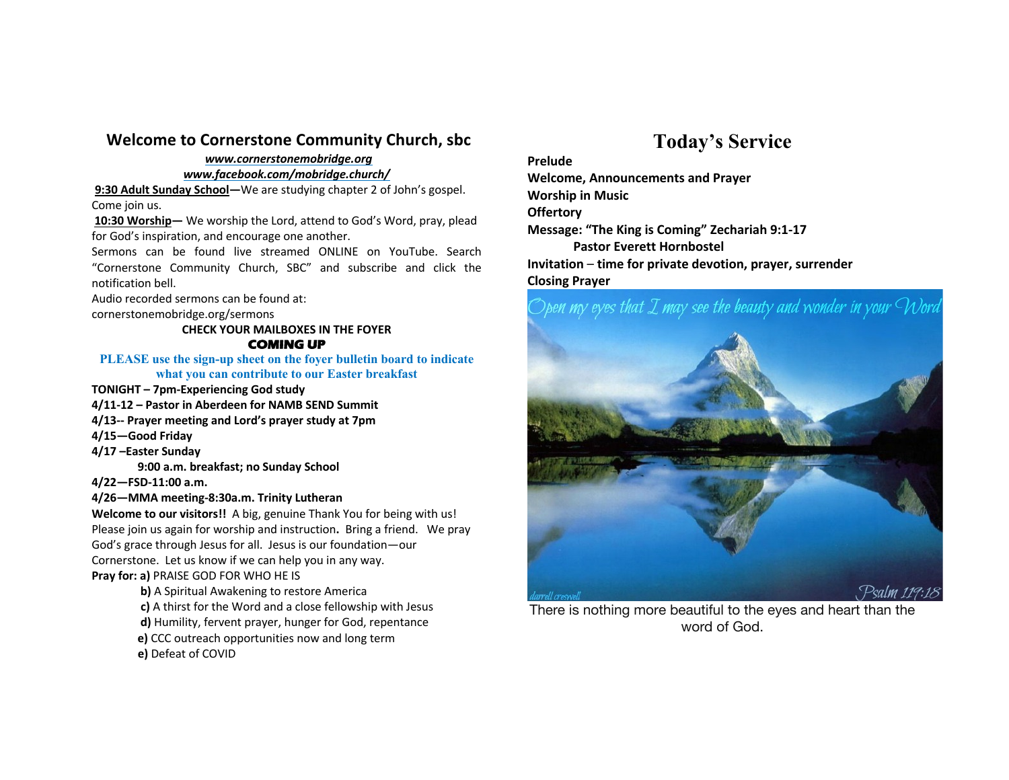### **Welcome to Cornerstone Community Church, sbc**

### *www.cornerstonemobridge.org*

*www.facebook.com/mobridge.church/*

**9:30 Adult Sunday School—**We are studying chapter 2 of John's gospel. Come join us.

**10:30 Worship—** We worship the Lord, attend to God's Word, pray, plead for God's inspiration, and encourage one another.

Sermons can be found live streamed ONLINE on YouTube. Search "Cornerstone Community Church, SBC" and subscribe and click the notification bell.

Audio recorded sermons can be found at:

cornerstonemobridge.org/sermons

### **CHECK YOUR MAILBOXES IN THE FOYER COMING UP**

#### **PLEASE use the sign-up sheet on the foyer bulletin board to indicate what you can contribute to our Easter breakfast**

- **TONIGHT – 7pm-Experiencing God study**
- **4/11-12 – Pastor in Aberdeen for NAMB SEND Summit**
- **4/13-- Prayer meeting and Lord's prayer study at 7pm**
- **4/15—Good Friday**
- **4/17 –Easter Sunday**

**9:00 a.m. breakfast; no Sunday School**

**4/22—FSD-11:00 a.m.**

### **4/26—MMA meeting-8:30a.m. Trinity Lutheran**

**Welcome to our visitors!!** A big, genuine Thank You for being with us! Please join us again for worship and instruction**.** Bring a friend. We pray God's grace through Jesus for all. Jesus is our foundation—our Cornerstone. Let us know if we can help you in any way. **Pray for: a)** PRAISE GOD FOR WHO HE IS

- **b)** A Spiritual Awakening to restore America
- **c)** A thirst for the Word and a close fellowship with Jesus
- **d)** Humility, fervent prayer, hunger for God, repentance
- **e)** CCC outreach opportunities now and long term
- **e)** Defeat of COVID

## **Today's Service**

### **Prelude**

**Welcome, Announcements and Prayer Worship in Music Offertory Message: "The King is Coming" Zechariah 9:1-17 Pastor Everett Hornbostel Invitation** – **time for private devotion, prayer, surrender Closing Prayer**

### )pen my eyes that I may see the beauty and wonder in your Word



There is nothing more beautiful to the eyes and heart than the word of God.